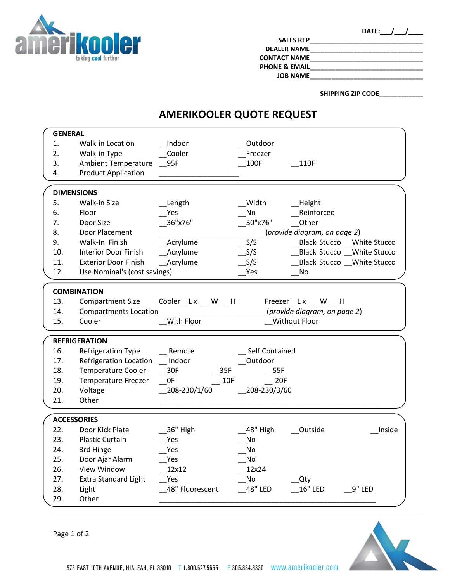

| D,<br>A |  |
|---------|--|
|---------|--|

| <b>SALES REP</b>         |  |
|--------------------------|--|
| <b>DEALER NAME</b>       |  |
| <b>CONTACT NAME</b>      |  |
| <b>PHONE &amp; EMAIL</b> |  |
| <b>JOB NAME</b>          |  |
|                          |  |

**SHIPPING ZIP CODE\_\_\_\_\_\_\_\_\_\_\_\_**

## **AMERIKOOLER QUOTE REQUEST**

| <b>GENERAL</b>     |                              |                  |                       |                              |  |
|--------------------|------------------------------|------------------|-----------------------|------------------------------|--|
| 1.                 | Walk-in Location             | Indoor           | Outdoor               |                              |  |
| 2.                 | Walk-in Type                 | Cooler           | Freezer               |                              |  |
| 3.                 | <b>Ambient Temperature</b>   | 95F              | 100F                  | 110F                         |  |
| 4.                 | <b>Product Application</b>   |                  |                       |                              |  |
|                    |                              |                  |                       |                              |  |
|                    | <b>DIMENSIONS</b>            |                  |                       |                              |  |
| 5.                 | <b>Walk-in Size</b>          | Length           | Width                 | <b>Height</b>                |  |
| 6.                 | Floor                        | Yes              | No                    | Reinforced                   |  |
| 7.                 | Door Size                    | 36"x76"          | 30"x76"               | Other                        |  |
| 8.                 | Door Placement               |                  |                       | (provide diagram, on page 2) |  |
| 9.                 | Walk-In Finish               | Acrylume         | S/S                   | Black Stucco White Stucco    |  |
| 10.                | Interior Door Finish         | Acrylume         | S/S                   | Black Stucco __ White Stucco |  |
| 11.                | <b>Exterior Door Finish</b>  | Acrylume         | S/S                   | Black Stucco __White Stucco  |  |
| 12.                | Use Nominal's (cost savings) |                  | Yes                   | No                           |  |
|                    |                              |                  |                       |                              |  |
|                    | <b>COMBINATION</b>           |                  |                       |                              |  |
| 13.                | <b>Compartment Size</b>      | Cooler_Lx __W__H |                       | Freezer <sub>Lx</sub> W H    |  |
| 14.                | <b>Compartments Location</b> |                  |                       | (provide diagram, on page 2) |  |
| 15.                | Cooler                       | With Floor       |                       | Without Floor                |  |
|                    | <b>REFRIGERATION</b>         |                  |                       |                              |  |
| 16.                | Refrigeration Type           | Remote           | <b>Self Contained</b> |                              |  |
| 17.                | Refrigeration Location       | Indoor           | Outdoor               |                              |  |
| 18.                | <b>Temperature Cooler</b>    | 35F<br>30F       | 55F                   |                              |  |
| 19.                | <b>Temperature Freezer</b>   | 0F<br>$-10F$     | $-20F$                |                              |  |
| 20.                | Voltage                      | 208-230/1/60     | 208-230/3/60          |                              |  |
| 21.                | Other                        |                  |                       |                              |  |
|                    |                              |                  |                       |                              |  |
| <b>ACCESSORIES</b> |                              |                  |                       |                              |  |
| 22.                | Door Kick Plate              | 36" High         | 48" High              | Inside<br>Outside            |  |
| 23.                | <b>Plastic Curtain</b>       | Yes              | No                    |                              |  |
| 24.                | 3rd Hinge                    | Yes              | No                    |                              |  |
| 25.                | Door Ajar Alarm              | Yes              | No                    |                              |  |
| 26.                | View Window                  | 12x12            | 12x24                 |                              |  |
| 27.                | <b>Extra Standard Light</b>  | Yes              | No                    | Qty                          |  |
| 28.                | Light                        | 48" Fluorescent  | 48" LED               | <b>16" LED</b><br>9" LED     |  |
|                    |                              |                  |                       |                              |  |
| 29.                | Other                        |                  |                       |                              |  |

Page 1 of 2